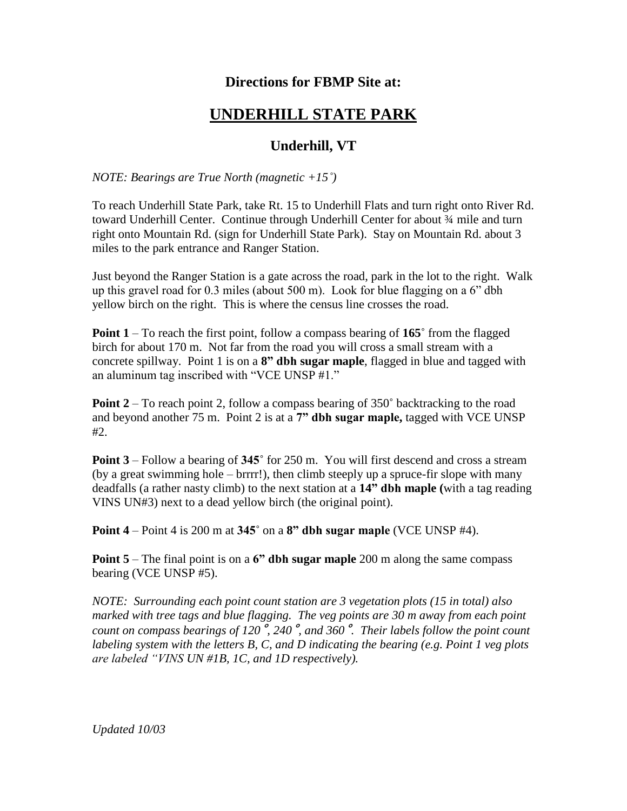## **Directions for FBMP Site at:**

## **UNDERHILL STATE PARK**

## **Underhill, VT**

*NOTE: Bearings are True North (magnetic +15˚)*

To reach Underhill State Park, take Rt. 15 to Underhill Flats and turn right onto River Rd. toward Underhill Center. Continue through Underhill Center for about ¾ mile and turn right onto Mountain Rd. (sign for Underhill State Park). Stay on Mountain Rd. about 3 miles to the park entrance and Ranger Station.

Just beyond the Ranger Station is a gate across the road, park in the lot to the right. Walk up this gravel road for 0.3 miles (about 500 m). Look for blue flagging on a 6" dbh yellow birch on the right. This is where the census line crosses the road.

**Point 1** – To reach the first point, follow a compass bearing of **165˚** from the flagged birch for about 170 m. Not far from the road you will cross a small stream with a concrete spillway. Point 1 is on a **8" dbh sugar maple**, flagged in blue and tagged with an aluminum tag inscribed with "VCE UNSP #1."

**Point 2** – To reach point 2, follow a compass bearing of 350**˚** backtracking to the road and beyond another 75 m. Point 2 is at a **7" dbh sugar maple,** tagged with VCE UNSP #2.

**Point 3** – Follow a bearing of **345˚** for 250 m. You will first descend and cross a stream (by a great swimming hole – brrrr!), then climb steeply up a spruce-fir slope with many deadfalls (a rather nasty climb) to the next station at a **14" dbh maple (**with a tag reading VINS UN#3) next to a dead yellow birch (the original point).

**Point 4** – Point 4 is 200 m at **345˚** on a **8" dbh sugar maple** (VCE UNSP #4).

**Point 5** – The final point is on a **6" dbh sugar maple** 200 m along the same compass bearing (VCE UNSP #5).

*NOTE: Surrounding each point count station are 3 vegetation plots (15 in total) also marked with tree tags and blue flagging. The veg points are 30 m away from each point count on compass bearings of 120*˚*, 240*˚*, and 360*˚*. Their labels follow the point count labeling system with the letters B, C, and D indicating the bearing (e.g. Point 1 veg plots are labeled "VINS UN #1B, 1C, and 1D respectively).*

*Updated 10/03*